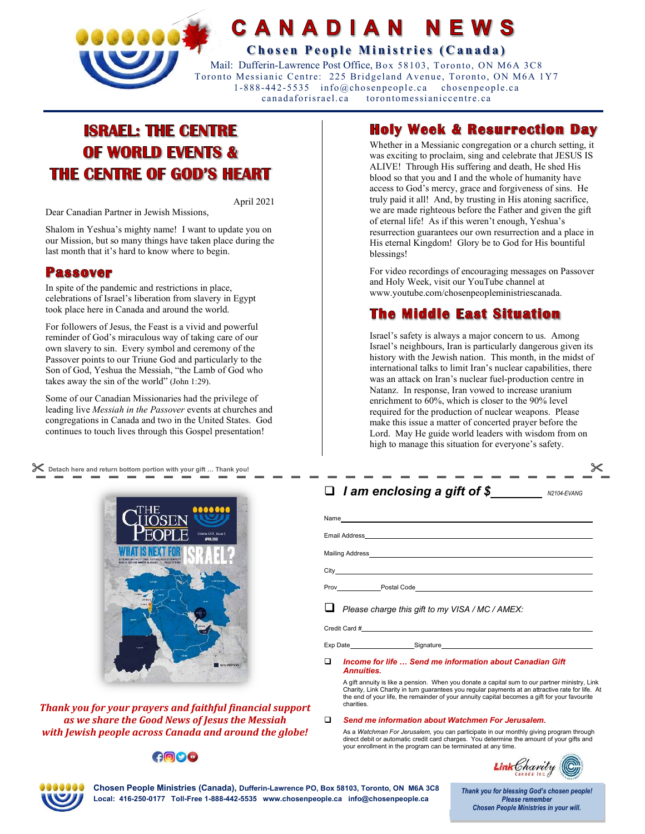

### CANADIAN NFWS

**Chosen People Ministries (Canada)** 

 Mail: Dufferin-Lawrence Post Office, Box 58103, Toronto, ON M6A 3C8 Toronto Messianic Centre: 225 Bridgeland Avenue, Toronto, ON M6A 1Y7 1-888-442-5535 info@chosenpeople.ca chosenpeople.ca can adafo risrael.ca toro ntomessianiccentre.ca

# **ISRAEL: THE CENTRE OF WORLD EVENTS & THE CENTRE OF GOD'S HEART**

April 2021

Dear Canadian Partner in Jewish Missions,

Shalom in Yeshua's mighty name! I want to update you on our Mission, but so many things have taken place during the last month that it's hard to know where to begin.

### **Passover**

In spite of the pandemic and restrictions in place, celebrations of Israel's liberation from slavery in Egypt took place here in Canada and around the world.

For followers of Jesus, the Feast is a vivid and powerful reminder of God's miraculous way of taking care of our own slavery to sin. Every symbol and ceremony of the Passover points to our Triune God and particularly to the Son of God, Yeshua the Messiah, "the Lamb of God who takes away the sin of the world" (John 1:29).

Some of our Canadian Missionaries had the privilege of leading live *Messiah in the Passover* events at churches and congregations in Canada and two in the United States. God continues to touch lives through this Gospel presentation!

 **Detach here and return bottom portion with your gift … Thank you!** 



*Thank you for your prayers and faithful financial support as we share the Good News of Jesus the Messiah with Jewish people across Canada and around the globe!* 

### **AODO**

## **Holy Week & Resurrection Dav**

Whether in a Messianic congregation or a church setting, it was exciting to proclaim, sing and celebrate that JESUS IS ALIVE! Through His suffering and death, He shed His blood so that you and I and the whole of humanity have access to God's mercy, grace and forgiveness of sins. He truly paid it all! And, by trusting in His atoning sacrifice, we are made righteous before the Father and given the gift of eternal life! As if this weren't enough, Yeshua's resurrection guarantees our own resurrection and a place in His eternal Kingdom! Glory be to God for His bountiful blessings!

For video recordings of encouraging messages on Passover and Holy Week, visit our YouTube channel at www.youtube.com/chosenpeopleministriescanada.

### The Middle East Situation

Israel's safety is always a major concern to us. Among Israel's neighbours, Iran is particularly dangerous given its history with the Jewish nation. This month, in the midst of international talks to limit Iran's nuclear capabilities, there was an attack on Iran's nuclear fuel-production centre in Natanz. In response, Iran vowed to increase uranium enrichment to 60%, which is closer to the 90% level required for the production of nuclear weapons. Please make this issue a matter of concerted prayer before the Lord. May He guide world leaders with wisdom from on high to manage this situation for everyone's safety.

### $\square$  *I* am enclosing a gift of \$

| $\Box$ Please charge this gift to my VISA / MC / AMEX: |  |  |  |  |
|--------------------------------------------------------|--|--|--|--|
|                                                        |  |  |  |  |

Exp Date Signature

#### *Income for life … Send me information about Canadian Gift Annuities.*

A gift annuity is like a pension. When you donate a capital sum to our partner ministry, Link Charity, Link Charity in turn guarantees you regular payments at an attractive rate for life. At the end of your life, the remainder of your annuity capital becomes a gift for your favourite charities.

#### *Send me information about Watchmen For Jerusalem.*

As a *Watchman For Jerusalem,* you can participate in our monthly giving program through direct debit or automatic credit card charges. You determine the amount of your gifts and your enrollment in the program can be terminated at any time.



**N2104-EVANG** 



**Chosen People Ministries (Canada), Dufferin-Lawrence PO, Box 58103, Toronto, ON M6A 3C8 Local: 416-250-0177 Toll-Free 1-888-442-5535 www.chosenpeople.ca info@chosenpeople.ca** 

Thank you for blessing God's chosen people! **Please remember Chosen People Ministries in your will.**